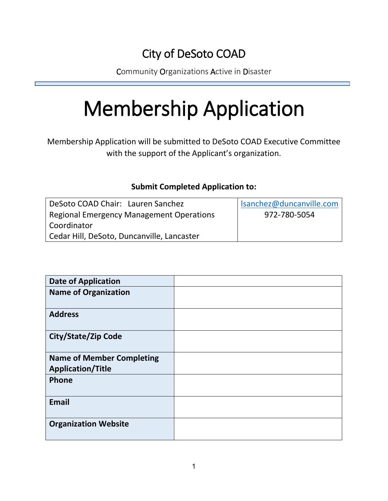## City of DeSoto COAD

Community Organizations Active in Disaster

# Membership Application

Membership Application will be submitted to DeSoto COAD Executive Committee with the support of the Applicant's organization.

### **Submit Completed Application to:**

| DeSoto COAD Chair: Lauren Sanchez               | Isanchez@duncanville.com |
|-------------------------------------------------|--------------------------|
| <b>Regional Emergency Management Operations</b> | 972-780-5054             |
| Coordinator                                     |                          |
| Cedar Hill, DeSoto, Duncanville, Lancaster      |                          |

| <b>Date of Application</b>       |  |
|----------------------------------|--|
| <b>Name of Organization</b>      |  |
| <b>Address</b>                   |  |
| <b>City/State/Zip Code</b>       |  |
| <b>Name of Member Completing</b> |  |
| <b>Application/Title</b>         |  |
| Phone                            |  |
| <b>Email</b>                     |  |
| <b>Organization Website</b>      |  |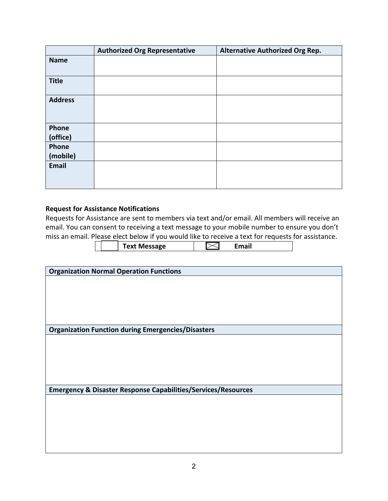|                   | <b>Authorized Org Representative</b> | <b>Alternative Authorized Org Rep.</b> |
|-------------------|--------------------------------------|----------------------------------------|
| <b>Name</b>       |                                      |                                        |
| <b>Title</b>      |                                      |                                        |
| <b>Address</b>    |                                      |                                        |
| Phone<br>(office) |                                      |                                        |
| Phone<br>(mobile) |                                      |                                        |
| Email             |                                      |                                        |

#### **Request for Assistance Notifications**

Requests for Assistance are sent to members via text and/or email. All members will receive an email. You can consent to receiving a text message to your mobile number to ensure you don't miss an email. Please elect below if yoursely

|  | email. Please elect below if you would like to receive a text for requests for assistance. |       |  |
|--|--------------------------------------------------------------------------------------------|-------|--|
|  | Text Message                                                                               | Email |  |
|  |                                                                                            |       |  |

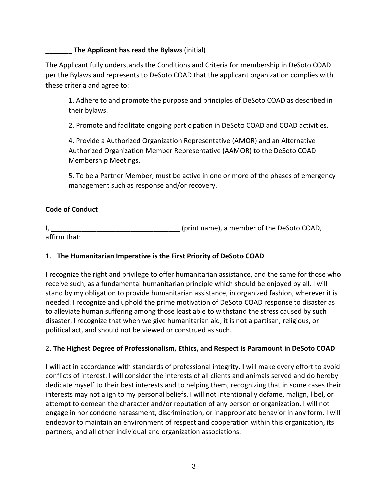#### \_\_\_\_\_\_\_ **The Applicant has read the Bylaws** (initial)

The Applicant fully understands the Conditions and Criteria for membership in DeSoto COAD per the Bylaws and represents to DeSoto COAD that the applicant organization complies with these criteria and agree to:

1. Adhere to and promote the purpose and principles of DeSoto COAD as described in their bylaws.

2. Promote and facilitate ongoing participation in DeSoto COAD and COAD activities.

4. Provide a Authorized Organization Representative (AMOR) and an Alternative Authorized Organization Member Representative (AAMOR) to the DeSoto COAD Membership Meetings.

5. To be a Partner Member, must be active in one or more of the phases of emergency management such as response and/or recovery.

#### **Code of Conduct**

I, the contract of the DeSoto COAD,  $(print \ name)$ , a member of the DeSoto COAD, affirm that:

#### 1. **The Humanitarian Imperative is the First Priority of DeSoto COAD**

I recognize the right and privilege to offer humanitarian assistance, and the same for those who receive such, as a fundamental humanitarian principle which should be enjoyed by all. I will stand by my obligation to provide humanitarian assistance, in organized fashion, wherever it is needed. I recognize and uphold the prime motivation of DeSoto COAD response to disaster as to alleviate human suffering among those least able to withstand the stress caused by such disaster. I recognize that when we give humanitarian aid, it is not a partisan, religious, or political act, and should not be viewed or construed as such.

#### 2. **The Highest Degree of Professionalism, Ethics, and Respect is Paramount in DeSoto COAD**

I will act in accordance with standards of professional integrity. I will make every effort to avoid conflicts of interest. I will consider the interests of all clients and animals served and do hereby dedicate myself to their best interests and to helping them, recognizing that in some cases their interests may not align to my personal beliefs. I will not intentionally defame, malign, libel, or attempt to demean the character and/or reputation of any person or organization. I will not engage in nor condone harassment, discrimination, or inappropriate behavior in any form. I will endeavor to maintain an environment of respect and cooperation within this organization, its partners, and all other individual and organization associations.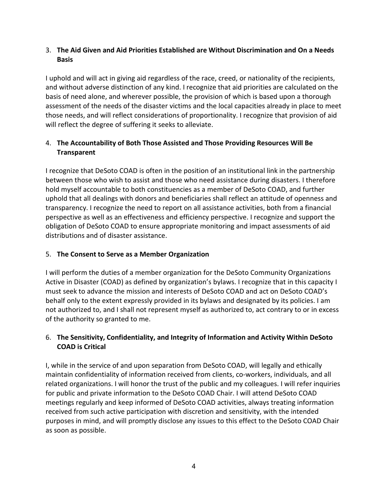#### 3. **The Aid Given and Aid Priorities Established are Without Discrimination and On a Needs Basis**

I uphold and will act in giving aid regardless of the race, creed, or nationality of the recipients, and without adverse distinction of any kind. I recognize that aid priorities are calculated on the basis of need alone, and wherever possible, the provision of which is based upon a thorough assessment of the needs of the disaster victims and the local capacities already in place to meet those needs, and will reflect considerations of proportionality. I recognize that provision of aid will reflect the degree of suffering it seeks to alleviate.

#### 4. **The Accountability of Both Those Assisted and Those Providing Resources Will Be Transparent**

I recognize that DeSoto COAD is often in the position of an institutional link in the partnership between those who wish to assist and those who need assistance during disasters. I therefore hold myself accountable to both constituencies as a member of DeSoto COAD, and further uphold that all dealings with donors and beneficiaries shall reflect an attitude of openness and transparency. I recognize the need to report on all assistance activities, both from a financial perspective as well as an effectiveness and efficiency perspective. I recognize and support the obligation of DeSoto COAD to ensure appropriate monitoring and impact assessments of aid distributions and of disaster assistance.

#### 5. **The Consent to Serve as a Member Organization**

I will perform the duties of a member organization for the DeSoto Community Organizations Active in Disaster (COAD) as defined by organization's bylaws. I recognize that in this capacity I must seek to advance the mission and interests of DeSoto COAD and act on DeSoto COAD's behalf only to the extent expressly provided in its bylaws and designated by its policies. I am not authorized to, and I shall not represent myself as authorized to, act contrary to or in excess of the authority so granted to me.

#### 6. **The Sensitivity, Confidentiality, and Integrity of Information and Activity Within DeSoto COAD is Critical**

I, while in the service of and upon separation from DeSoto COAD, will legally and ethically maintain confidentiality of information received from clients, co-workers, individuals, and all related organizations. I will honor the trust of the public and my colleagues. I will refer inquiries for public and private information to the DeSoto COAD Chair. I will attend DeSoto COAD meetings regularly and keep informed of DeSoto COAD activities, always treating information received from such active participation with discretion and sensitivity, with the intended purposes in mind, and will promptly disclose any issues to this effect to the DeSoto COAD Chair as soon as possible.